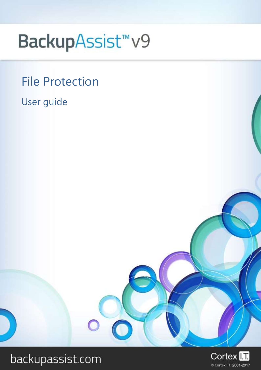# BackupAssist<sup>™</sup>v9

# File Protection

User guide

# backupassist.com

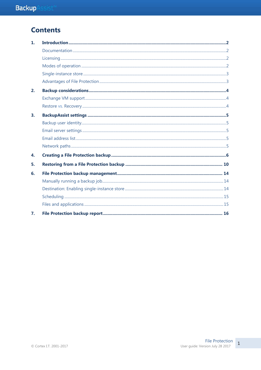# **Contents**

| $\mathbf{1}$ . |  |
|----------------|--|
|                |  |
|                |  |
|                |  |
|                |  |
|                |  |
| 2.             |  |
|                |  |
|                |  |
| 3.             |  |
|                |  |
|                |  |
|                |  |
|                |  |
| 4.             |  |
| 5.             |  |
| 6.             |  |
|                |  |
|                |  |
|                |  |
|                |  |
| 7.             |  |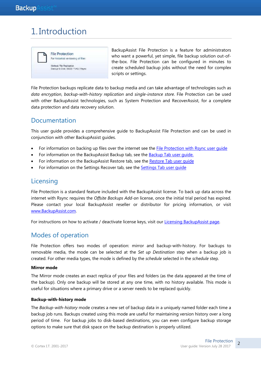# 1. Introduction



BackupAssist File Protection is a feature for administrators who want a powerful, yet simple, file backup solution out-ofthe-box. File Protection can be configured in minutes to create scheduled backup jobs without the need for complex scripts or settings.

File Protection backups replicate data to backup media and can take advantage of technologies such as *data encryption*, *backup-with-history replication* and *single-instance store*. File Protection can be used with other BackupAssist technologies, such as System Protection and RecoverAssist, for a complete data protection and data recovery solution.

### Documentation

This user guide provides a comprehensive guide to BackupAssist File Protection and can be used in conjunction with other BackupAssist guides.

- For information on backing up files over the internet see the [File Protection with Rsync user guide](http://www.backupassist.com/education/v9/backupassist/rsync-protection-guide.html)
- For information on the BackupAssist Backup tab, see the [Backup Tab user guide.](http://www.backupassist.com/education/v9/backupassist/backup-tab-guide.html)
- For information on the BackupAssist Restore tab, see the [Restore Tab user guide](http://www.backupassist.com/education/v9/backupassist/restore-tab-guide.html)
- For information on the Settings Recover tab, see the [Settings Tab user guide](http://www.backupassist.com/education/v9/backupassist/settings-tab-guide.html)

# **Licensing**

File Protection is a standard feature included with the BackupAssist license. To back up data across the internet with Rsync requires the *Offsite Backups Add-on* license, once the initial trial period has expired. Please contact your local BackupAssist reseller or distributor for pricing information, or visit [www.BackupAssist.com.](http://www.backupassist.com/)

For instructions on how to activate / deactivate license keys, visit our [Licensing BackupAssist page.](http://www.backupassist.com/education/v9/backupassist/backupassist-licensing-guide.html)

# Modes of operation

File Protection offers two modes of operation: mirror and backup-with-history. For backups to removable media, the mode can be selected at the *Set up Destination* step when a backup job is created. For other media types, the mode is defined by the *schedule* selected in the *schedule* step.

#### **Mirror mode**

The Mirror mode creates an exact replica of your files and folders (as the data appeared at the time of the backup). Only one backup will be stored at any one time, with no history available. This mode is useful for situations where a primary drive or a server needs to be replaced quickly.

#### **Backup-with-history mode**

The *Backup-with-history* mode creates a new set of backup data in a uniquely named folder each time a backup job runs. Backups created using this mode are useful for maintaining version history over a long period of time. For backup jobs to disk-based destinations, you can even configure backup storage options to make sure that disk space on the backup destination is properly utilized.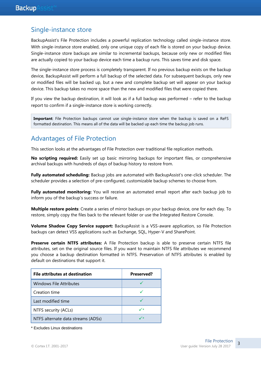### Single-instance store

BackupAssist's File Protection includes a powerful replication technology called single-instance store. With single-instance store enabled, only one unique copy of each file is stored on your backup device. Single-instance store backups are similar to incremental backups, because only new or modified files are actually copied to your backup device each time a backup runs. This saves time and disk space.

The single-instance store process is completely transparent. If no previous backup exists on the backup device, BackupAssist will perform a full backup of the selected data. For subsequent backups, only new or modified files will be backed up, but a new and complete backup set will appear on your backup device. This backup takes no more space than the new and modified files that were copied there.

If you view the backup destination, it will look as if a full backup was performed – refer to the backup report to confirm if a single-instance store is working correctly.

**Important**: File Protection backups cannot use single-instance store when the backup is saved on a ReFS formatted destination. This means all of the data will be backed up each time the backup job runs.

# Advantages of File Protection

This section looks at the advantages of File Protection over traditional file replication methods.

**No scripting required:** Easily set up basic mirroring backups for important files, or comprehensive archival backups with hundreds of days of backup history to restore from.

**Fully automated scheduling:** Backup jobs are automated with BackupAssist's one-click scheduler. The scheduler provides a selection of pre-configured, customizable backup schemes to choose from.

**Fully automated monitoring:** You will receive an automated email report after each backup job to inform you of the backup's success or failure.

**Multiple restore points**: Create a series of mirror backups on your backup device, one for each day. To restore, simply copy the files back to the relevant folder or use the Integrated Restore Console.

**Volume Shadow Copy Service support:** BackupAssist is a VSS-aware application, so File Protection backups can detect VSS applications such as Exchange, SQL, Hyper-V and SharePoint.

**Preserve certain NTFS attributes:** A File Protection backup is able to preserve certain NTFS file attributes, set on the original source files. If you want to maintain NTFS file attributes we recommend you choose a backup destination formatted in NTFS. Preservation of NTFS attributes is enabled by default on destinations that support it.

| File attributes at destination     | Preserved? |
|------------------------------------|------------|
| Windows File Attributes            |            |
| Creation time                      |            |
| Last modified time                 |            |
| NTFS security (ACLs)               | ✓∗         |
| NTFS alternate data streams (ADSs) |            |

\* Excludes Linux destinations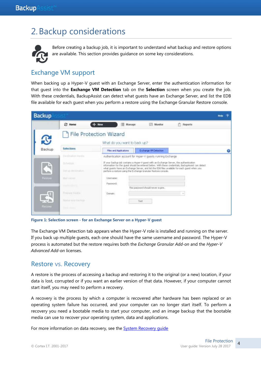# 2.Backup considerations



Before creating a backup job, it is important to understand what backup and restore options are available. This section provides guidance on some key considerations.

### <span id="page-4-0"></span>Exchange VM support

When backing up a Hyper-V guest with an Exchange Server, enter the authentication information for that guest into the **Exchange VM Detection** tab on the **Selection** screen when you create the job. With these credentials, BackupAssist can detect what guests have an Exchange Server, and list the EDB file available for each guest when you perform a restore using the Exchange Granular Restore console.

| <b>Backup</b>   |                                                             |                                                        |                                                                                                                                                                                                                                                           |                                                                                                    | <b>Help</b> | 2 |
|-----------------|-------------------------------------------------------------|--------------------------------------------------------|-----------------------------------------------------------------------------------------------------------------------------------------------------------------------------------------------------------------------------------------------------------|----------------------------------------------------------------------------------------------------|-------------|---|
|                 | <b>C</b> Home                                               | New<br>Manage                                          | <b>Monitor</b>                                                                                                                                                                                                                                            | Reports                                                                                            |             |   |
| IJ              |                                                             | File Protection Wizard<br>What do you want to back up? |                                                                                                                                                                                                                                                           |                                                                                                    |             |   |
| Backup          | <b>Selections</b>                                           | <b>Fies and Applications</b>                           | Exchange VM Detection                                                                                                                                                                                                                                     |                                                                                                    |             |   |
|                 | Planditudent Hurdis                                         |                                                        | Authentication account for Hyper-V guests running Exchange                                                                                                                                                                                                |                                                                                                    |             |   |
| $\hat{\bullet}$ | <b>Cchedule</b><br>Set up my thratton.                      |                                                        | If your backup tob contains a Hyper-V quest with an Exchange Server, the authentication<br>what quests have an Exchange Server, and lat the EDB files available for each quest when you<br>perform a restore using the Exchange Granular Restore console. | information for the guest should be entered below. With these credentials, BackupAssist can detect |             |   |
| Restore         | Mail surver.                                                | <b>Usemane:</b><br>Password:                           | This password should never expire.                                                                                                                                                                                                                        |                                                                                                    |             |   |
| Recover         | Frequent modial<br>Name your tracking<br><b>Them Please</b> | التموسيون<br>Domain:                                   | Test                                                                                                                                                                                                                                                      |                                                                                                    |             |   |

**Figure 1: Selection screen - for an Exchange Server on a Hyper-V guest**

The Exchange VM Detection tab appears when the Hyper-V role is installed and running on the server. If you back up multiple guests, each one should have the same username and password. The Hyper-V process is automated but the restore requires both the *Exchange Granular Add-on* and the *Hyper-V Advanced Add-on* licenses.

### Restore vs. Recovery

A restore is the process of accessing a backup and restoring it to the original (or a new) location, if your data is lost, corrupted or if you want an earlier version of that data. However, if your computer cannot start itself, you may need to perform a recovery.

A recovery is the process by which a computer is recovered after hardware has been replaced or an operating system failure has occurred, and your computer can no longer start itself. To perform a recovery you need a bootable media to start your computer, and an image backup that the bootable media can use to recover your operating system, data and applications.

For more information on data recovery, see the [System Recovery guide](http://www.backupassist.com/education/v9/backupassist/system-recovery-guide.html)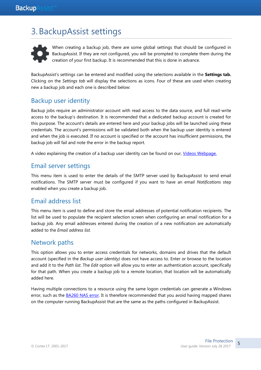# 3.BackupAssist settings



When creating a backup job, there are some global settings that should be configured in BackupAssist. If they are not configured, you will be prompted to complete them during the creation of your first backup. It is recommended that this is done in advance.

<span id="page-5-0"></span>BackupAssist's settings can be entered and modified using the selections available in the **Settings tab.**  Clicking on the *Settings tab* will display the selections as icons. Four of these are used when creating new a backup job and each one is described below:

# Backup user identity

Backup jobs require an administrator account with read access to the data source, and full read-write access to the backup's destination. It is recommended that a dedicated backup account is created for this purpose. The account's details are entered here and your backup jobs will be launched using these credentials. The account's permissions will be validated both when the backup user identity is entered and when the job is executed. If no account is specified or the account has insufficient permissions, the backup job will fail and note the error in the backup report.

A video explaining the creation of a backup user identity can be found on our, [Videos Webpage.](http://www.backupassist.com/education/videos.html)

### <span id="page-5-1"></span>Email server settings

This menu item is used to enter the details of the SMTP server used by BackupAssist to send email notifications. The SMTP server must be configured if you want to have an email *Notifications* step enabled when you create a backup job.

### Email address list

This menu item is used to define and store the email addresses of potential notification recipients. The list will be used to populate the recipient selection screen when configuring an email notification for a backup job. Any email addresses entered during the creation of a new notification are automatically added to the *Email address list*.

### Network paths

This option allows you to enter access credentials for networks, domains and drives that the default account (specified in the *Backup user identity)* does not have access to. Enter or browse to the location and add it to the *Path list*. The *Edit* option will allow you to enter an authentication account, specifically for that path. When you create a backup job to a remote location, that location will be automatically added here.

Having multiple connections to a resource using the same logon credentials can generate a Windows error, such as the **BA260 NAS error**. It is therefore recommended that you avoid having mapped shares on the computer running BackupAssist that are the same as the paths configured in BackupAssist.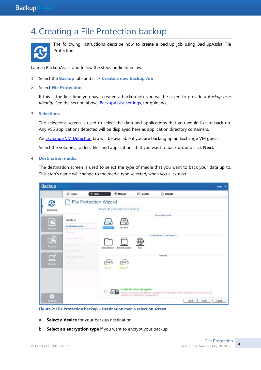# 4.Creating a File Protection backup



The following instructions describe how to create a backup job using BackupAssist File Protection.

Launch BackupAssist and follow the steps outlined below:

- 1. Select the **Backup** tab, and click **Create a new backup Job**
- 2. Select **File Protection**

If this is the first time you have created a backup job, you will be asked to provide a *Backup user identity*. See the section above, [BackupAssist settings,](#page-5-0) for quidance.

3. **Selections**

The selections screen is used to select the data and applications that you would like to back up. Any VSS applications detected will be displayed here as application directory containers.

An **Exchange VM Detection** tab will be available if you are backing up an Exchange VM quest.

Select the volumes, folders, files and applications that you want to back up, and click **Next.**

#### 4. **Destination media**

The destination screen is used to select the type of media that you want to back your data up to. This step's name will change to the media type selected, when you click next.



**Figure 2: File Protection backup – Destination media selection screen**

- a. **Select a device** for your backup destination.
- b. **Select an encryption type** if you want to encrypt your backup.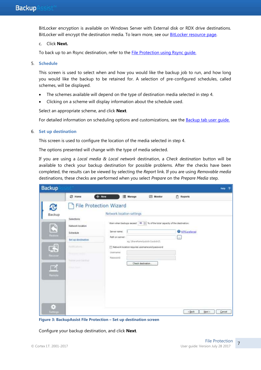BitLocker encryption is available on Windows Server with External disk or RDX drive destinations. BitLocker will encrypt the destination media. To learn more, see our [BitLocker resource page.](http://www.backupassist.com/education/resources/bitlocker-encryption.html)

#### c. Click **Next.**

To back up to an Rsync destination, refer to the [File Protection using Rsync guide.](http://www.backupassist.com/education/v9/backupassist/rsync-protection-guide.html)

#### 5. **Schedule**

This screen is used to select when and how you would like the backup job to run, and how long you would like the backup to be retained for. A selection of pre-configured schedules, called schemes, will be displayed.

- The schemes available will depend on the type of destination media selected in step 4.
- Clicking on a scheme will display information about the schedule used.

Select an appropriate scheme, and click **Next**.

For detailed information on scheduling options and customizations, see the **Backup tab user quide.** 

#### 6. **Set up destination**

This screen is used to configure the location of the media selected in step 4.

The options presented will change with the type of media selected.

If you are using a *Local media & Local network* destination, a *Check destination* button will be available to check your backup destination for possible problems. After the checks have been completed, the results can be viewed by selecting the *Report* link. If you are using *Removable media* destinations, these checks are performed when you select *Prepare* on the *Prepare Media* step.

| <b>Backup</b>                                           |                                                                                                                                             |                                                                                                                                                                                                               |                                                     |                                                | $\overline{2}$<br>Help |
|---------------------------------------------------------|---------------------------------------------------------------------------------------------------------------------------------------------|---------------------------------------------------------------------------------------------------------------------------------------------------------------------------------------------------------------|-----------------------------------------------------|------------------------------------------------|------------------------|
| C<br>Backup<br>凸<br>h.c.<br><b>Restore</b><br><b>GS</b> | $+$ New<br><b>C</b> Home<br><b>File Protection Wizard</b><br>Selections<br>Network location<br>Schedule<br>Set up destination<br>NothEature | E Manage<br>Network location settings<br>Warn when backups exceed   90   16 % of the total capacity of the destination.<br>Server name!<br>Path on server:<br>Network location requires username and password | <b>ES</b> Monitor<br>eg.\ShareName\pubdir1\subdir2\ | 卣<br>Reports<br>WIFS preferred<br>53           |                        |
| Ritcaver<br>◘<br>Riemote<br>÷,<br>Semngs                | <b>Youtever</b> multi-<br>Himse point backlap<br><b>What Head</b>                                                                           | <b>Usemame:</b><br>Pasquordi                                                                                                                                                                                  | Check destination.                                  | Next ><br><back< th=""><th>Cancel</th></back<> | Cancel                 |

**Figure 3: BackupAssist File Protection – Set up destination screen**

Configure your backup destination, and click **Next**.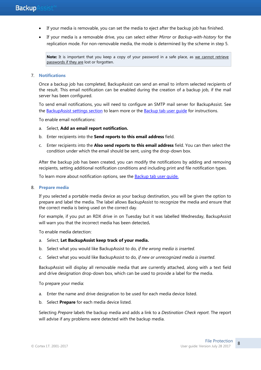- If your media is removable, you can set the media to eject after the backup job has finished.
- If your media is a removable drive, you can select either *Mirror* or *Backup-with-history* for the replication mode. For non-removable media, the mode is determined by the scheme in step 5.

**Note:** It is important that you keep a copy of your password in a safe place, as we cannot retrieve passwords if they are lost or forgotten.

#### 7. **Notifications**

Once a backup job has completed, BackupAssist can send an email to inform selected recipients of the result. This email notification can be enabled during the creation of a backup job, if the mail server has been configured.

To send email notifications, you will need to configure an SMTP mail server for BackupAssist. See the [BackupAssist settings section](#page-5-1) to learn more or the [Backup tab user guide](http://www.backupassist.com/education/v9/backupassist/backup-tab-guide.html) for instructions.

To enable email notifications:

- a. Select, **Add an email report notification.**
- b. Enter recipients into the **Send reports to this email address** field.
- c. Enter recipients into the **Also send reports to this email address** field. You can then select the condition under which the email should be sent, using the drop-down box.

After the backup job has been created, you can modify the notifications by adding and removing recipients, setting additional notification conditions and including print and file notification types.

To learn more about notification options, see the [Backup tab user guide.](http://www.backupassist.com/education/v9/backupassist/backup-tab-guide.html)

#### 8. **Prepare media**

If you selected a portable media device as your backup destination, you will be given the option to prepare and label the media. The label allows BackupAssist to recognize the media and ensure that the correct media is being used on the correct day.

For example, if you put an RDX drive in on Tuesday but it was labelled Wednesday, BackupAssist will warn you that the incorrect media has been detected**.**

To enable media detection:

- a. Select, **Let BackupAssist keep track of your media.**
- b. Select what you would like BackupAssist to do, *if the wrong media is inserted*.
- c. Select what you would like BackupAssist to do, *if new or unrecognized media is inserted*.

BackupAssist will display all removable media that are currently attached, along with a text field and drive designation drop-down box, which can be used to provide a label for the media.

To prepare your media:

- a. Enter the name and drive designation to be used for each media device listed.
- b. Select **Prepare** for each media device listed.

Selecting *Prepare* labels the backup media and adds a link to a *Destination Check report*. The report will advise if any problems were detected with the backup media.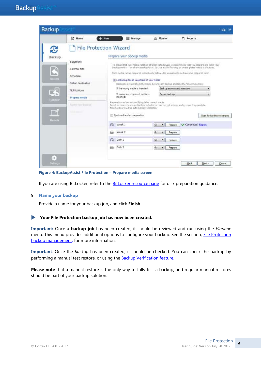| <b>Backup</b>                                        |                                                                                                                                                      |                                              |                                                                                                                                                                                                                                                                                                                                                                                                                                                                                                                                                                                                                                                                                                                                                                                                                                                         |                                                                                  |                                                    | Help                           |
|------------------------------------------------------|------------------------------------------------------------------------------------------------------------------------------------------------------|----------------------------------------------|---------------------------------------------------------------------------------------------------------------------------------------------------------------------------------------------------------------------------------------------------------------------------------------------------------------------------------------------------------------------------------------------------------------------------------------------------------------------------------------------------------------------------------------------------------------------------------------------------------------------------------------------------------------------------------------------------------------------------------------------------------------------------------------------------------------------------------------------------------|----------------------------------------------------------------------------------|----------------------------------------------------|--------------------------------|
|                                                      | <b>25 Home</b>                                                                                                                                       | $+$ New                                      | Manage                                                                                                                                                                                                                                                                                                                                                                                                                                                                                                                                                                                                                                                                                                                                                                                                                                                  | Monitor                                                                          | <b>Reports</b><br>n                                |                                |
| Backup<br>Restors<br><b>Recover</b><br><b>Remote</b> | Selections<br>External disk<br>Schedule<br>Set up destination<br>Notifications<br>Prepare media<br>humi yout books<br><b><i>Report Followsky</i></b> | <b>File Protection Wizard</b><br>⊝<br>A<br>⊟ | Prepare your backup media<br>To ensure that your media rotation strategy is followed, we recommend that you prepare and label your<br>backup media. This allows Backup Assist to take action if wrong, or unrecognized media is detected.<br>Each media can be prepared individually below. Any unavailable media can be prepared later.<br>F. Let BackupAssist keep track of your media<br>BackupAssist will check the media before each backup and take the following action:<br>If the wrong media is inserted:<br>If new or unrecognized media is<br>inserted:<br>Preparation writes an identifying label to each media.<br>bisert or connect each media item included in your current scheme and prepare it separately.<br>New hardware will be automatically detected.<br>Elect media after preparation<br>Week <sub>1</sub><br>Week 2<br>Daily 1 | Do not back up<br>G.<br>Prepare<br>۰<br>G.<br>Prepare<br>۰<br>Gc<br>Prepare<br>۰ | Back up anyway and warn user.<br>Completed, Report | ۰<br>Scan for hardware changes |
| 5<br>samnga                                          |                                                                                                                                                      | ⊖                                            | Daily 2                                                                                                                                                                                                                                                                                                                                                                                                                                                                                                                                                                                                                                                                                                                                                                                                                                                 | G.<br>Prepare<br>۰                                                               | <back< td=""><td>Next &gt;<br/>Cancel</td></back<> | Next ><br>Cancel               |

**Figure 4: BackupAssist File Protection – Prepare media screen**

If you are using BitLocker, refer to the **BitLocker resource page** for disk preparation guidance.

#### 9. **Name your backup**

Provide a name for your backup job, and click **Finish**.

#### **Your File Protection backup job has now been created.**

**Important:** Once a **backup job** has been created, it should be reviewed and run using the *Manage* menu. This menu provides additional options to configure your backup. See the section, File Protection backup [management,](#page-14-0) for more information.

**Important**: Once the *backup* has been created, it should be checked. You can check the backup by performing a manual test restore, or using the **Backup Verification feature.** 

**Please note** that a manual restore is the only way to fully test a backup, and regular manual restores should be part of your backup solution.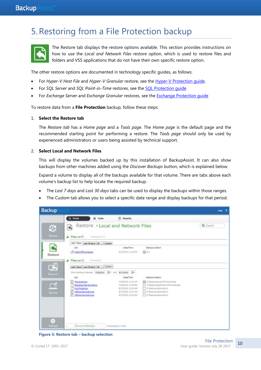# 5.Restoring from a File Protection backup



The Restore tab displays the restore options available. This section provides instructions on how to use the *Local and Network Files* restore option, which is used to restore files and folders and VSS applications that do not have their own specific restore option.

The other restore options are documented in technology specific guides, as follows:

- For *Hyper-V Host File* and *Hyper-V Granular* restore, see the [Hyper-V Protection guide.](http://www.backupassist.com/education/v9/backupassist/hyper-v-protection-guide.html)
- For *SQL Server* and *SQL Point-in-Time* restores, see the [SQL Protection guide](http://www.backupassist.com/education/v9/backupassist/sql-protection-guide.html)
- For *Exchange Server* and *Exchange Granular* restores, see the [Exchange Protection guide](http://www.backupassist.com/education/v9/backupassist/exchange-protection-guide.html)

To restore data from a **File Protection** backup, follow these steps:

#### 1. **Select the Restore tab**

The *Restore tab* has a *Home page* and a *Tools page*. The *Home page* is the default page and the recommended starting point for performing a restore. The *Tools page* should only be used by experienced administrators or users being assisted by technical support.

#### 2. **Select Local and Network Files**

This will display the volumes backed up by this installation of BackupAssist. It can also show backups from other machines added using the *Discover Backups* button, which is explained below.

Expand a volume to display all of the backups available for that volume. There are tabs above each volume's backup list to help locate the required backup.

- The *Last 7 days* and *Last 30 days* tabs can be used to display the backups within those ranges.
- The *Custom* tab allows you to select a specific date range and display backups for that period.



**Figure 5: Restore tab – backup selection**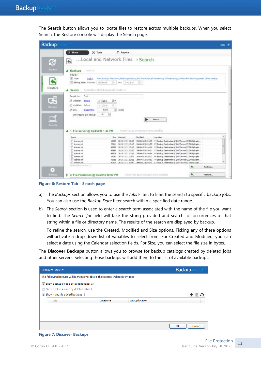The **Search** button allows you to locate files to restore across multiple backups. When you select Search, the Restore console will display the Search page.

|                                       |                                              |                                         |                                              |                                                                                                                                         |         | Help |
|---------------------------------------|----------------------------------------------|-----------------------------------------|----------------------------------------------|-----------------------------------------------------------------------------------------------------------------------------------------|---------|------|
| $\leq$ Home                           | $X$ Tools                                    | <b>FT</b> Reports                       |                                              |                                                                                                                                         |         |      |
| Local and Network Files > Search<br>大 |                                              |                                         |                                              |                                                                                                                                         |         |      |
| 29.4729<br><b>4</b> Backups           |                                              |                                         |                                              |                                                                                                                                         |         |      |
| Filter by                             |                                              |                                         |                                              |                                                                                                                                         |         |      |
| V John:<br>8 of #                     | Waldoss                                      | $\left\vert -\right\vert$ and 7/ 6/2016 | EH.                                          | Fiare backup, File Servar, Exchange backup, File Protection, File Archiving, Offsite Backup, Offsite File Archiving, Head Office backup |         |      |
| Backup data: batween                  |                                              |                                         |                                              |                                                                                                                                         |         |      |
| Search                                | Completed in 00:00. Backgoo with results: 10 |                                         |                                              |                                                                                                                                         |         |      |
| $+$ txt<br>Search for:                |                                              |                                         |                                              |                                                                                                                                         |         |      |
| [iii] Created:<br>Batory              | B.<br>7/ 7/2016                              |                                         |                                              |                                                                                                                                         |         |      |
| Madified: Before                      | ii -<br>7/ 7/2036                            |                                         |                                              |                                                                                                                                         |         |      |
|                                       |                                              |                                         |                                              |                                                                                                                                         |         |      |
| V Sze<br>Bigger than                  | 5,000                                        | + bytes                                 |                                              |                                                                                                                                         |         |      |
| Limit results per backup              | 樹<br>10 <sup>1</sup>                         |                                         |                                              |                                                                                                                                         |         |      |
|                                       |                                              |                                         |                                              | Search                                                                                                                                  |         |      |
|                                       |                                              |                                         |                                              |                                                                                                                                         |         |      |
|                                       |                                              |                                         |                                              |                                                                                                                                         |         |      |
|                                       |                                              |                                         |                                              |                                                                                                                                         |         |      |
| File Server @ 6/24/2016 1:44 PM       |                                              |                                         | Food Her 10, directories: Elimine available) |                                                                                                                                         |         |      |
| Name                                  |                                              | <b>Size Created</b>                     | <b>Nodified</b>                              | Location                                                                                                                                |         | ×    |
| IT lowres txt                         | 50700                                        | 2013-12-31 10:13                        |                                              | 2009-05-28 14:55 ft Backup Destination C/Dell'Onters'C/DR3/Graphi                                                                       |         |      |
| license.bit                           | 22644                                        | 2013-12-31 30:13                        |                                              | 2009-05-28 14:55 F/@adup Destination\C\Dell'Drivers\CJDR8\Graphi                                                                        |         |      |
| learne bit                            | 48296                                        |                                         |                                              | 2013-12-31 10:13 2009-05-28 14:54 F: Backup Destmation C (Def Drivers/C3DR8/Graphi                                                      |         |      |
| ilowned tut                           | 40996                                        | 2013-12-31 30:13                        |                                              | 2009-05-20 14:51 f: Beckup Destination C Del Dmiers C XX8 Graphi                                                                        |         |      |
| license, bit                          | 49306                                        | 2013-12-31 10:13                        |                                              | 2009-05-28 14:54 F:\Backup Destination\C\DeFDrivers\C3DR8\Graphi                                                                        |         |      |
| <sup>FT</sup> license, txt            | 33060                                        |                                         |                                              | 2013-12-31 10:13 2010-04-29 10:27 F: Backup Destination (C)DeF(Drivers)CJDR8/Graphi                                                     |         |      |
| license, bit                          | 35086                                        |                                         |                                              | 2013-12-31 10:13 2009-05-28 14:53 P: Backup Destination C/Dell'Drivers/C/DRS/Graphi                                                     |         |      |
| TI Sneow, tut                         |                                              |                                         |                                              | 46976 2013-13-31 10:13 2009-05-28 14:51 F Wack in Destruction C VielDrivers/C DRAVGords                                                 |         |      |
| Selected For regions in               |                                              |                                         |                                              |                                                                                                                                         | Restore |      |
|                                       |                                              |                                         |                                              |                                                                                                                                         |         |      |

**Figure 6: Restore Tab – Search page**

- a) The *Backups* section allows you to use the *Jobs* Filter, to limit the search to specific backup jobs. You can also use the *Backup Date* filter search within a specified date range.
- b) The *Search* section is used to enter a search term associated with the name of the file you want to find. The *Search for* field will take the string provided and search for occurrences of that string within a file or directory name. The results of the search are displayed by backup.

To refine the search, use the Created, Modified and Size options. Ticking any of these options will activate a drop down list of variables to select from. For Created and Modified, you can select a date using the Calendar selection fields. For Size, you can select the file size in bytes.

The **Discover Backups** button allows you to browse for backup catalogs created by deleted jobs and other servers. Selecting those backups will add them to the list of available backups.

| <b>Discover Backups</b>                                                       |           |                        | <b>Backup</b> |
|-------------------------------------------------------------------------------|-----------|------------------------|---------------|
| The following backups will be made available in the Restore and Recover tabs: |           |                        |               |
| Show backups made by existing jobs: 13                                        |           |                        |               |
| Show backups made by deleted jobs: 1                                          |           |                        |               |
| Show manually added backups: 0                                                |           |                        |               |
| Job                                                                           | Date/Time | <b>Backup location</b> |               |
|                                                                               |           |                        |               |
|                                                                               |           |                        |               |
|                                                                               |           |                        |               |
|                                                                               |           |                        | Cancel<br>ОК  |

#### **Figure 7: Discover Backups**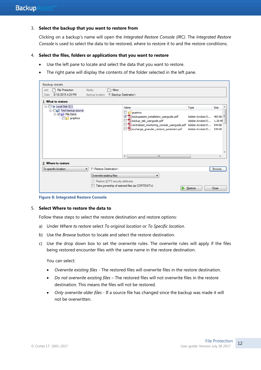#### 3. **Select the backup that you want to restore from**

Clicking on a backup's name will open the *Integrated Restore Console (IRC)*. The *Integrated Restore Console* is used to select the data to be restored, where to restore it to and the restore conditions.

#### 4. **Select the files, folders or applications that you want to restore**

- Use the left pane to locate and select the data that you want to restore.
- The right pane will display the contents of the folder selected in the left pane.

| <b>Backup details</b>                                        |                                         |                                                                                                                                                                                                       |                                                              |                     |
|--------------------------------------------------------------|-----------------------------------------|-------------------------------------------------------------------------------------------------------------------------------------------------------------------------------------------------------|--------------------------------------------------------------|---------------------|
| <b>File Protection</b><br>Job:                               | Media:<br>Mirror                        |                                                                                                                                                                                                       |                                                              |                     |
| 8/18/2015 4:20 PM<br>Date:                                   | Backup location: F:\Backup Destination\ |                                                                                                                                                                                                       |                                                              |                     |
| 1. What to restore                                           |                                         |                                                                                                                                                                                                       |                                                              |                     |
| C:) Local Disk (C:)<br><b>E</b>                              |                                         | Name                                                                                                                                                                                                  | <b>Type</b>                                                  | <b>Size</b>         |
| □ Test backup source<br>$\Box$ $\Box$ File Store<br>graphics |                                         | graphics<br>Abackupassist_installation_userguide.pdf<br>Abackup_tab_userguide.pdf<br>centralized_monitoring_console_userguide.pdf Adobe Acrobat D 944 kB<br>Aexchange_granular_restore_quickstart.pdf | Adobe Acrobat D<br>Adobe Acrobat D<br>Adobe Acrobat D 542 kB | $483$ kB<br>1.20 MI |
|                                                              |                                         | $\overline{ }$<br>m.                                                                                                                                                                                  |                                                              |                     |
| 2. Where to restore                                          |                                         |                                                                                                                                                                                                       |                                                              |                     |
| To specific location<br>▼                                    | <b>F:\Restore Destination\</b>          |                                                                                                                                                                                                       |                                                              | Browse              |
|                                                              | Overwrite existing files                |                                                                                                                                                                                                       |                                                              |                     |
|                                                              | Restore NTFS security attributes        |                                                                                                                                                                                                       |                                                              |                     |
|                                                              |                                         | Take ownership of restored files (as CORTEXITVr)                                                                                                                                                      | Restore                                                      | Close               |

**Figure 8: Integrated Restore Console**

#### 5. **Select Where to restore the data to**

Follow these steps to select the restore destination and restore options:

- a) Under *Where to restore* select *To original location* or *To Specific location*.
- b) Use the *Browse* button to locate and select the restore destination.
- c) Use the drop down box to set the overwrite rules. The overwrite rules will apply if the files being restored encounter files with the same name in the restore destination.

You can select:

- *Overwrite existing files* The restored files will overwrite files in the restore destination.
- *Do not overwrite existing files* The restored files will not overwrite files in the restore destination. This means the files will not be restored.
- *Only overwrite older files* If a source file has changed since the backup was made it will not be overwritten.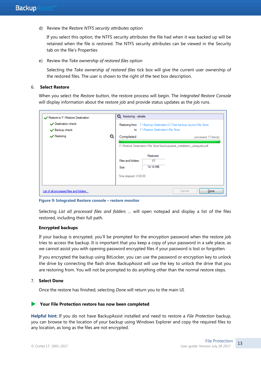d) Review the *Restore NTFS security attributes* option

If you select this option, the NTFS security attributes the file had when it was backed up will be retained when the file is restored. The NTFS security attributes can be viewed in the Security tab on the file's Properties

e) Review the *Take ownership of restored files* option

Selecting the *Take ownership of restored files* tick box will give the current user ownership of the restored files. The user is shown to the right of the text box description.

#### 6. **Select Restore**

When you select the *Restore* button, the restore process will begin. The *Integrated Restore Console*  will display information about the restore job and provide status updates as the job runs.



**Figure 9: Integrated Restore console – restore monitor**

Selecting *List all processed files and folders …* will open notepad and display a list of the files restored, including their full path.

#### **Encrypted backups**

If your backup is encrypted, you'll be prompted for the encryption password when the restore job tries to access the backup. It is important that you keep a copy of your password in a safe place, as we cannot assist you with opening password encrypted files if your password is lost or forgotten.

If you encrypted the backup using BitLocker, you can use the password or encryption key to unlock the drive by connecting the flash drive. BackupAssist will use the key to unlock the drive that you are restoring from. You will not be prompted to do anything other than the normal restore steps.

#### 7. **Select Done**

Once the restore has finished, selecting *Done* will return you to the main UI.

#### **Your File Protection restore has now been completed**

**Helpful hint:** If you do not have BackupAssist installed and need to restore a *File Protection* backup, you can browse to the location of your backup using Windows Explorer and copy the required files to any location, as long as the files are not encrypted.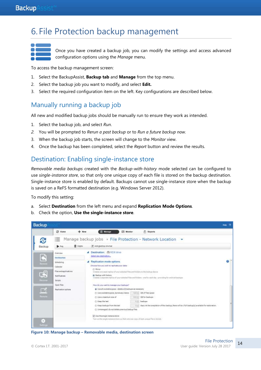# <span id="page-14-0"></span>6. File Protection backup management



Once you have created a backup job, you can modify the settings and access advanced configuration options using the *Manage* menu.

To access the backup management screen:

- 1. Select the BackupAssist, **Backup tab** and **Manage** from the top menu.
- 2. Select the backup job you want to modify, and select **Edit.**
- 3. Select the required configuration item on the left. Key configurations are described below.

### Manually running a backup job

All new and modified backup jobs should be manually run to ensure they work as intended.

- 1. Select the backup job, and select *Run*.
- *2.* You will be prompted to *Rerun a past backup* or to *Run a future backup now.*
- 3. When the backup job starts, the screen will change to the *Monitor* view.
- 4. Once the backup has been completed, select the *Report* button and review the results.

### Destination: Enabling single-instance store

*Removable media backups* created with the *Backup-with-history* mode selected can be configured to use *single-instance store*, so that only one unique copy of each file is stored on the backup destination. Single-instance store is enabled by default. Backups cannot use single-instance store when the backup is saved on a ReFS formatted destination (e.g. Windows Server 2012).

To modify this setting:

- a. Select **Destination** from the left menu and expand **Replication Mode Options**.
- b. Check the option, **Use the single-instance store**.



**Figure 10: Manage backup – Removable media, destination screen**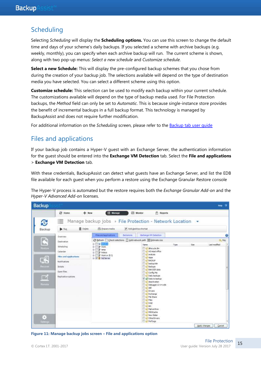# Scheduling

Selecting *Scheduling* will display the **Scheduling options.** You can use this screen to change the default time and days of your scheme's daily backups. If you selected a scheme with archive backups (e.g. weekly, monthly), you can specify when each archive backup will run. The current scheme is shown, along with two pop-up menus: *Select a new schedule* and *Customize schedule*.

**Select a new Schedule:** This will display the pre-configured backup schemes that you chose from during the creation of your backup job. The selections available will depend on the type of destination media you have selected. You can select a different scheme using this option.

**Customize schedule:** This selection can be used to modify each backup within your current schedule. The customizations available will depend on the type of backup media used. For File Protection backups, the *Method* field can only be set to *Automatic*. This is because single-instance store provides the benefit of incremental backups in a full backup format. This technology is managed by BackupAssist and does not require further modification.

For additional information on the *Scheduling* screen, please refer to the [Backup tab user guide](http://www.backupassist.com/education/v9/backupassist/backup-tab-guide.html)

# Files and applications

If your backup job contains a Hyper-V guest with an Exchange Server, the authentication information for the guest should be entered into the **Exchange VM Detection** tab. Select the **File and applications** > **Exchange VM Detection** tab.

With these credentials, BackupAssist can detect what guests have an Exchange Server, and list the EDB file available for each guest when you perform a restore using the Exchange Granular Restore console

The Hyper-V process is automated but the restore requires both the *Exchange Granular Add-on* and the *Hyper-V Advanced Add-on* licenses.

| <b>Backup</b>                                                                    |                                                                                                                                          |                                                                                                            |                                      |                                                                                                                                                                                                                                                                                                                                                                                                                                                                                                                                                                   |      |      | Help:                                                                      | ಾ |
|----------------------------------------------------------------------------------|------------------------------------------------------------------------------------------------------------------------------------------|------------------------------------------------------------------------------------------------------------|--------------------------------------|-------------------------------------------------------------------------------------------------------------------------------------------------------------------------------------------------------------------------------------------------------------------------------------------------------------------------------------------------------------------------------------------------------------------------------------------------------------------------------------------------------------------------------------------------------------------|------|------|----------------------------------------------------------------------------|---|
| Ø                                                                                | <b>Q</b> Home<br>$+$ New<br>這                                                                                                            | <b>III</b> Manage                                                                                          |                                      | ES Monitor<br>F Reports<br>Manage backup jobs » File Protection - Network Location .                                                                                                                                                                                                                                                                                                                                                                                                                                                                              |      |      |                                                                            |   |
| Backup                                                                           | <b>商 Delate</b><br><b>D</b> Rit<br>Overview                                                                                              | <b>El Propara media</b><br>Files and applications                                                          | P Add desktop shortest<br>Exclusions | Eichange VM Detection                                                                                                                                                                                                                                                                                                                                                                                                                                                                                                                                             |      |      |                                                                            |   |
| $\mathbf{E}$<br>Restore<br>国<br>Receiver<br>◘<br>Remate<br>Ξ<br><b>Sattings:</b> | <b>Destination</b><br>Scheduling<br>Calendar<br>Files and applications.<br>Notifications<br>Scripts<br>Gpen files<br>Replication options | 0 3 3 3 40<br>由 / Work<br>ill in temp<br>iii - Holacs<br><b>由 学 Work or 由 D</b><br><b>B</b> 7 \$ Sq Server |                                      | ○ Befresh Scheck selections (2) Add network path 田 Estimate size<br><b>Name</b><br>Li Mecyde Bin<br>A SHead office<br>C enalysis<br>Li Apps<br><b>L'EADGP</b><br><b>C</b> backup ide<br><b>Becker</b><br>BAKEGR data<br>Li Config Mai<br><b>ED C. Daily backups</b><br>U Gil Date to backup<br>La deschvation<br>Debugger.6.4.4.x86<br><b>Diddef</b><br>G Officers<br><b>Ci Exchange</b><br>Cirán Share<br><b>Ciries</b><br><b>Bi</b> Callinted<br><b>ED Citats</b><br>Ci Mal archive.<br>MSOCatte<br><b>Littlew folder</b><br><b>D</b> Cottenbuers<br>Li Pertogs | Type | Size | <b>Q<sub>4</sub> Key</b><br>Lest roothed<br>Cancel<br><b>Apply charges</b> |   |

**Figure 11: Manage backup jobs screen – File and applications option**